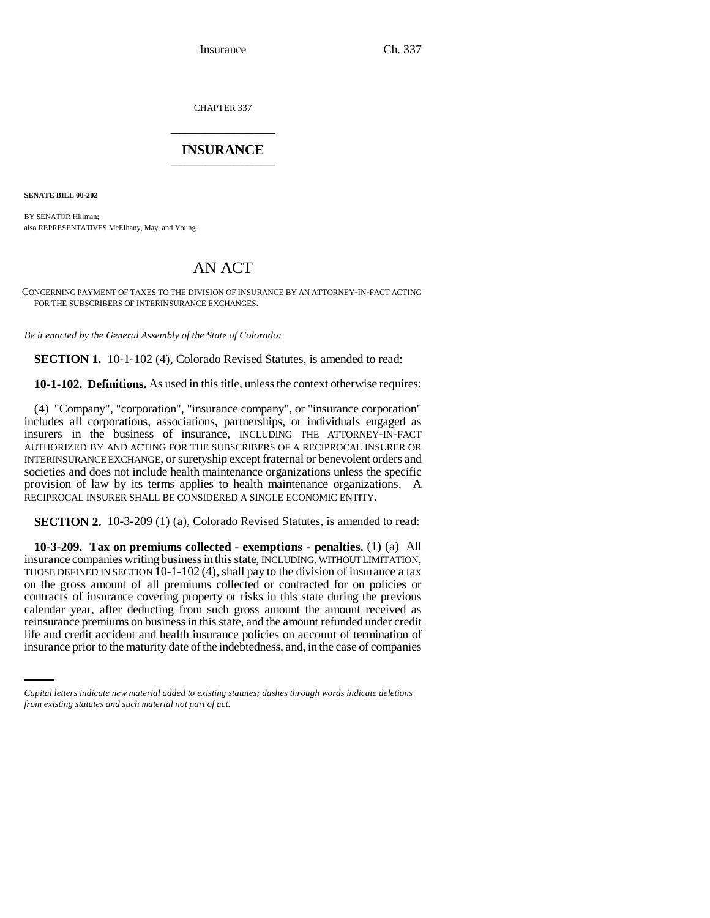CHAPTER 337 \_\_\_\_\_\_\_\_\_\_\_\_\_\_\_

## **INSURANCE** \_\_\_\_\_\_\_\_\_\_\_\_\_\_\_

**SENATE BILL 00-202** 

BY SENATOR Hillman; also REPRESENTATIVES McElhany, May, and Young.

## AN ACT

CONCERNING PAYMENT OF TAXES TO THE DIVISION OF INSURANCE BY AN ATTORNEY-IN-FACT ACTING FOR THE SUBSCRIBERS OF INTERINSURANCE EXCHANGES.

*Be it enacted by the General Assembly of the State of Colorado:*

**SECTION 1.** 10-1-102 (4), Colorado Revised Statutes, is amended to read:

**10-1-102. Definitions.** As used in this title, unless the context otherwise requires:

(4) "Company", "corporation", "insurance company", or "insurance corporation" includes all corporations, associations, partnerships, or individuals engaged as insurers in the business of insurance, INCLUDING THE ATTORNEY-IN-FACT AUTHORIZED BY AND ACTING FOR THE SUBSCRIBERS OF A RECIPROCAL INSURER OR INTERINSURANCE EXCHANGE, or suretyship except fraternal or benevolent orders and societies and does not include health maintenance organizations unless the specific provision of law by its terms applies to health maintenance organizations. A RECIPROCAL INSURER SHALL BE CONSIDERED A SINGLE ECONOMIC ENTITY.

**SECTION 2.** 10-3-209 (1) (a), Colorado Revised Statutes, is amended to read:

reinsurance premiums on business in this state, and the amount refunded under credit **10-3-209. Tax on premiums collected - exemptions - penalties.** (1) (a) All insurance companies writing business in this state, INCLUDING, WITHOUT LIMITATION, THOSE DEFINED IN SECTION 10-1-102 (4), shall pay to the division of insurance a tax on the gross amount of all premiums collected or contracted for on policies or contracts of insurance covering property or risks in this state during the previous calendar year, after deducting from such gross amount the amount received as life and credit accident and health insurance policies on account of termination of insurance prior to the maturity date of the indebtedness, and, in the case of companies

*Capital letters indicate new material added to existing statutes; dashes through words indicate deletions from existing statutes and such material not part of act.*